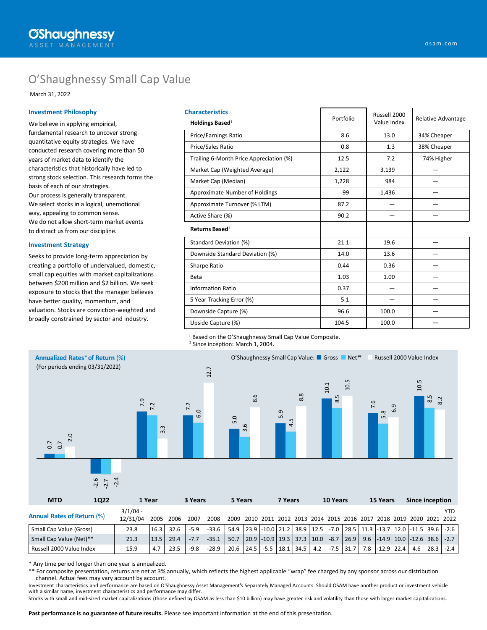# O'Shaughnessy Small Cap Value

March 31, 2022

### **Investment Philosophy**

We believe in applying empirical, fundamental research to uncover strong quantitative equity strategies. We have conducted research covering more than 50 years of market data to identify the characteristics that historically have led to strong stock selection. This research forms the basis of each of our strategies. Our process is generally transparent. We select stocks in a logical, unemotional way, appealing to common sense. We do not allow short-term market events to distract us from our discipline.

### **Investment Strategy**

Seeks to provide long-term appreciation by creating a portfolio of undervalued, domestic, small cap equities with market capitalizations between \$200 million and \$2 billion. We seek exposure to stocks that the manager believes have better quality, momentum, and valuation. Stocks are conviction-weighted and broadly constrained by sector and industry.

| <b>Characteristics</b>                  |           | Russell 2000 |                    |  |
|-----------------------------------------|-----------|--------------|--------------------|--|
| Holdings Based <sup>1</sup>             | Portfolio | Value Index  | Relative Advantage |  |
| <b>Price/Earnings Ratio</b>             | 8.6       | 13.0         | 34% Cheaper        |  |
| Price/Sales Ratio                       | 0.8       | 1.3          | 38% Cheaper        |  |
| Trailing 6-Month Price Appreciation (%) | 12.5      | 7.2          | 74% Higher         |  |
| Market Cap (Weighted Average)           | 2,122     | 3,139        |                    |  |
| Market Cap (Median)                     | 1,228     | 984          |                    |  |
| Approximate Number of Holdings          | 99        | 1,436        |                    |  |
| Approximate Turnover (% LTM)            | 87.2      |              |                    |  |
| Active Share (%)                        | 90.2      |              |                    |  |
| Returns Based <sup>2</sup>              |           |              |                    |  |
| Standard Deviation (%)                  | 21.1      | 19.6         |                    |  |
| Downside Standard Deviation (%)         | 14.0      | 13.6         |                    |  |
| Sharpe Ratio                            | 0.44      | 0.36         |                    |  |
| Beta                                    | 1.03      | 1.00         |                    |  |
| <b>Information Ratio</b>                | 0.37      |              |                    |  |
| 5 Year Tracking Error (%)               | 5.1       |              |                    |  |
| Downside Capture (%)                    | 96.6      | 100.0        |                    |  |
| Upside Capture (%)                      | 104.5     | 100.0        |                    |  |

<sup>1</sup> Based on the O'Shaughnessy Small Cap Value Composite.

<sup>2</sup> Since inception: March 1, 2004.



\* Any time period longer than one year is annualized.

\*\* For composite presentation, returns are net at 3% annually, which reflects the highest applicable "wrap" fee charged by any sponsor across our distribution channel. Actual fees may vary account by account.

Investment characteristics and performance are based on O'Shaughnessy Asset Management's Separately Managed Accounts. Should OSAM have another product or investment vehicle with a similar name, investment characteristics and performance may differ.

Stocks with small and mid-sized market capitalizations (those defined by OSAM as less than \$10 billion) may have greater risk and volatility than those with larger market capitalizations.

**Past performance is no guarantee of future results.** Please see important information at the end of this presentation.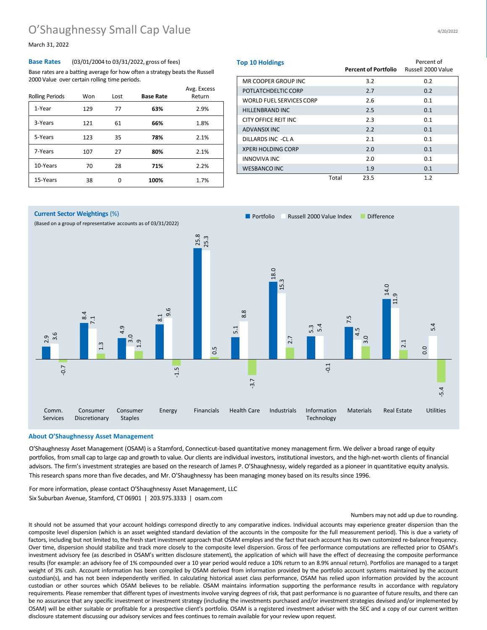## O'Shaughnessy Small Cap Value

March 31, 2022

### **Base Rates** (03/01/2004 to 03/31/2022, gross of fees)

Base rates are a batting average for how often a strategy beats the Russell 2000 Value over certain rolling time periods.

| <b>Rolling Periods</b> | Won | Lost | <b>Base Rate</b> | Avg. Excess<br>Return |
|------------------------|-----|------|------------------|-----------------------|
| 1-Year                 | 129 | 77   | 63%              | 2.9%                  |
| 3-Years                | 121 | 61   | 66%              | 1.8%                  |
| 5-Years                | 123 | 35   | 78%              | 2.1%                  |
| 7-Years                | 107 | 27   | 80%              | 2.1%                  |
| 10-Years               | 70  | 28   | 71%              | 2.2%                  |
| 15-Years               | 38  | ი    | 100%             | 1.7%                  |

| <b>Top 10 Holdings</b>          |       | <b>Percent of Portfolio</b> | Percent of<br>Russell 2000 Value |
|---------------------------------|-------|-----------------------------|----------------------------------|
| MR COOPER GROUP INC             |       | 3.2                         | 0.2                              |
| POTLATCHDELTIC CORP             |       | 2.7                         | 0.2                              |
| <b>WORLD FUEL SERVICES CORP</b> |       | 2.6                         | 0.1                              |
| <b>HILLENBRAND INC</b>          |       | 2.5                         | 0.1                              |
| CITY OFFICE REIT INC            |       | 2.3                         | 0.1                              |
| ADVANSIX INC                    |       | 2.2                         | 0.1                              |
| DILLARDS INC -CL A              |       | 2.1                         | 0.1                              |
| <b>XPERI HOLDING CORP</b>       |       | 2.0                         | 0.1                              |
| <b>INNOVIVA INC</b>             |       | 2.0                         | 0.1                              |
| <b>WESBANCO INC</b>             |       | 1.9                         | 0.1                              |
|                                 | Total | 23.5                        | 1.2                              |



### **About O'Shaughnessy Asset Management**

O'Shaughnessy Asset Management (OSAM) is a Stamford, Connecticut-based quantitative money management firm. We deliver a broad range of equity portfolios, from small cap to large cap and growth to value. Our clients are individual investors, institutional investors, and the high-net-worth clients of financial advisors. The firm's investment strategies are based on the research of James P. O'Shaughnessy, widely regarded as a pioneer in quantitative equity analysis. This research spans more than five decades, and Mr. O'Shaughnessy has been managing money based on its results since 1996.

For more information, please contact O'Shaughnessy Asset Management, LLC Six Suburban Avenue, Stamford, CT 06901 | 203.975.3333 | osam.com

### Numbers may not add up due to rounding.

It should not be assumed that your account holdings correspond directly to any comparative indices. Individual accounts may experience greater dispersion than the composite level dispersion (which is an asset weighted standard deviation of the accounts in the composite for the full measurement period). This is due a variety of factors, including but not limited to, the fresh start investment approach that OSAM employs and the fact that each account has its own customized re-balance frequency. Over time, dispersion should stabilize and track more closely to the composite level dispersion. Gross of fee performance computations are reflected prior to OSAM's investment advisory fee (as described in OSAM's written disclosure statement), the application of which will have the effect of decreasing the composite performance results (for example: an advisory fee of 1% compounded over a 10 year period would reduce a 10% return to an 8.9% annual return). Portfolios are managed to a target weight of 3% cash. Account information has been compiled by OSAM derived from information provided by the portfolio account systems maintained by the account custodian(s), and has not been independently verified. In calculating historical asset class performance, OSAM has relied upon information provided by the account custodian or other sources which OSAM believes to be reliable. OSAM maintains information supporting the performance results in accordance with regulatory requirements. Please remember that different types of investments involve varying degrees of risk, that past performance is no guarantee of future results, and there can be no assurance that any specific investment or investment strategy (including the investments purchased and/or investment strategies devised and/or implemented by OSAM) will be either suitable or profitable for a prospective client's portfolio. OSAM is a registered investment adviser with the SEC and a copy of our current written disclosure statement discussing our advisory services and fees continues to remain available for your review upon request.